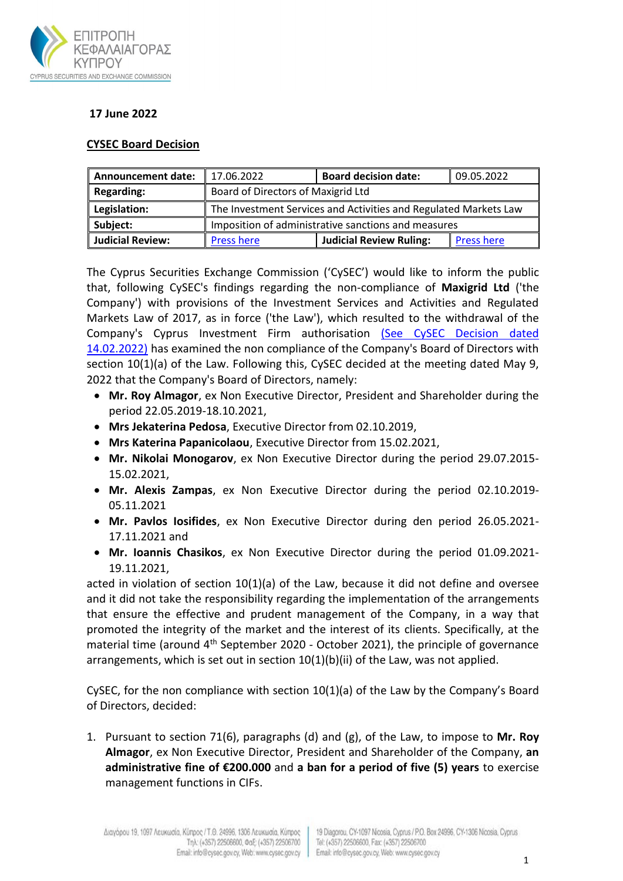

## **17 June 2022**

## **CYSEC Board Decision**

| <b>Announcement date:</b> | 17.06.2022                                                       | <b>Board decision date:</b>    | 09.05.2022        |
|---------------------------|------------------------------------------------------------------|--------------------------------|-------------------|
| <b>Regarding:</b>         | Board of Directors of Maxigrid Ltd                               |                                |                   |
| Legislation:              | The Investment Services and Activities and Regulated Markets Law |                                |                   |
| Subject:                  | Imposition of administrative sanctions and measures              |                                |                   |
| <b>Judicial Review:</b>   | <b>Press here</b>                                                | <b>Judicial Review Ruling:</b> | <b>Press here</b> |

The Cyprus Securities Exchange Commission ('CySEC') would like to inform the public that, following CySEC's findings regarding the non-compliance of **Maxigrid Ltd** ('the Company') with provisions of the Investment Services and Activities and Regulated Markets Law of 2017, as in force ('the Law'), which resulted to the withdrawal of the Company's Cyprus Investment Firm authorisation [\(See CySEC Decision dated](https://www.cysec.gov.cy/CMSPages/GetFile.aspx?guid=0d06763e-0000-4849-8a91-ef5339e62cf0)  [14.02.2022\)](https://www.cysec.gov.cy/CMSPages/GetFile.aspx?guid=0d06763e-0000-4849-8a91-ef5339e62cf0) has examined the non compliance of the Company's Board of Directors with section 10(1)(a) of the Law. Following this, CySEC decided at the meeting dated May 9, 2022 that the Company's Board of Directors, namely:

- **Mr. Roy Almagor**, ex Non Executive Director, President and Shareholder during the period 22.05.2019-18.10.2021,
- **Mrs Jekaterina Pedosa**, Executive Director from 02.10.2019,
- **Mrs Katerina Papanicolaou**, Executive Director from 15.02.2021,
- **Mr. Nikolai Monogarov**, ex Non Executive Director during the period 29.07.2015- 15.02.2021,
- **Mr. Alexis Zampas**, ex Non Executive Director during the period 02.10.2019- 05.11.2021
- **Mr. Pavlos Iosifides**, ex Non Executive Director during den period 26.05.2021- 17.11.2021 and
- **Mr. Ioannis Chasikos**, ex Non Executive Director during the period 01.09.2021- 19.11.2021,

acted in violation of section 10(1)(a) of the Law, because it did not define and oversee and it did not take the responsibility regarding the implementation of the arrangements that ensure the effective and prudent management of the Company, in a way that promoted the integrity of the market and the interest of its clients. Specifically, at the material time (around  $4<sup>th</sup>$  September 2020 - October 2021), the principle of governance arrangements, which is set out in section  $10(1)(b)(ii)$  of the Law, was not applied.

CySEC, for the non compliance with section 10(1)(a) of the Law by the Company's Board of Directors, decided:

1. Pursuant to section 71(6), paragraphs (d) and (g), of the Law, to impose to **Mr. Roy Almagor**, ex Non Executive Director, President and Shareholder of the Company, **an administrative fine of €200.000** and **a ban for a period of five (5) years** to exercise management functions in CIFs.